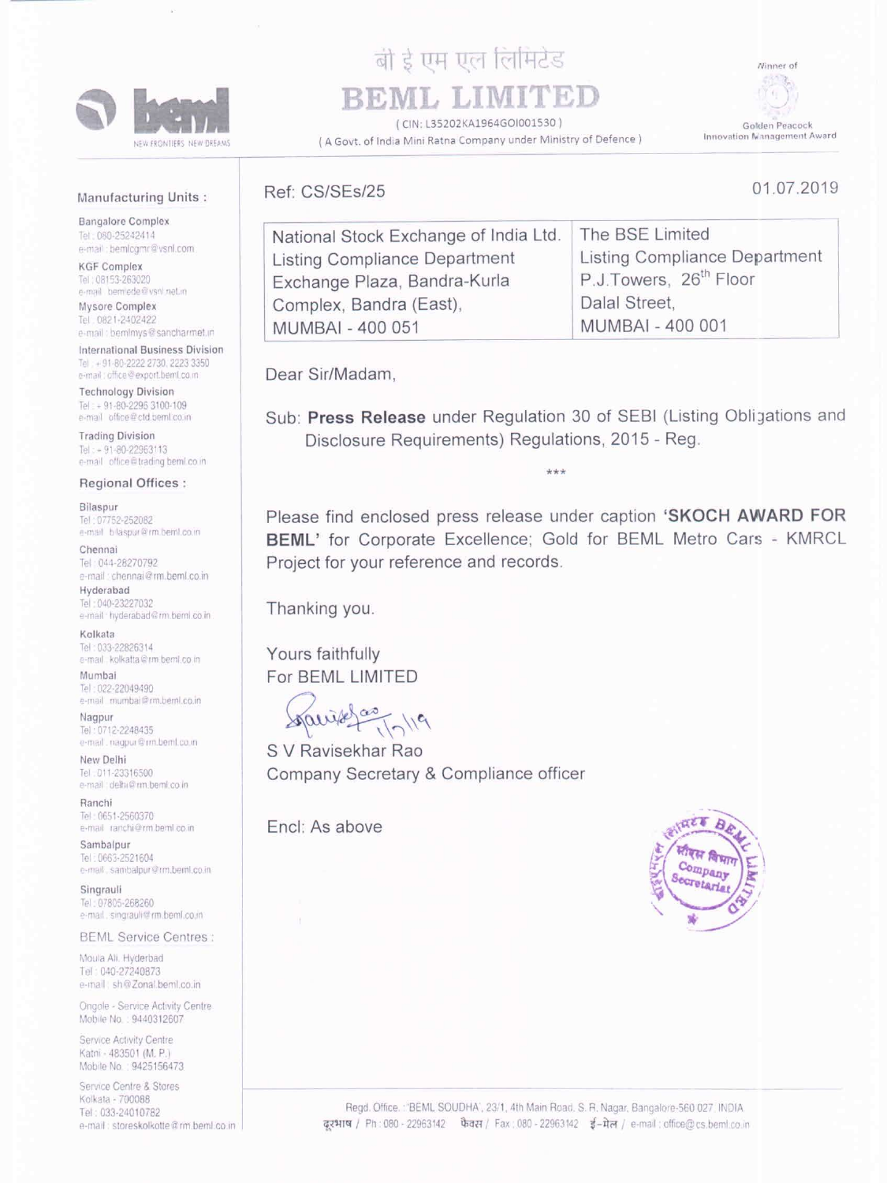

# बी डे एम एल लिमिटेड BEML LIMITED

(CIN: L35202KA1964GOI001530)

(A Govt. of India Mini Ratna Company under Ministry of Defence)

Ninner of



01.07.2019

Golden Peacock Innovation Management Award

# **Manufacturing Units:**

**Bangalore Complex** Tel: 080-25242414 e-mail: bemlcomr@vsnl.com

**KGF Complex** Tel: 08153-263020 e-mail bemiede@vsnl.net.in

Mysore Complex Tel. 0821-2402422 e-mail: bemimys@sancharmet.in

International Business Division Tel: +91-80-2222 2730, 2223 3350 e-mail: office@export.bemLco.m.

**Technology Division** Tel: - 91-80-2295 3100-109 e-mail office@ctd.bemLco.in

**Trading Division** Tel: =  $91-80-22963113$ e-mail office@trading.beml.co.in Ref: CS/SEs/25

| The BSE Limited                    |
|------------------------------------|
| Listing Compliance Department      |
| P.J.Towers, 26 <sup>th</sup> Floor |
| Dalal Street,                      |
| MUMBAI - 400 001                   |
|                                    |

Dear Sir/Madam,

Sub: Press Release under Regulation 30 of SEBI (Listing Obligations and Disclosure Requirements) Regulations, 2015 - Reg.

### **Regional Offices:**

#### Bilaspur

Tel: 07752-252082 e-mail blaspur@rm.beml.co.in

#### Chennai

Tel: 044-28270792 e-mail: chennai@rm.beml.co.in Hyderabad

Tel: 040-23227032 e-mail - hyderabad@rm.beml.co.in

## Kolkata

Tel: 033-22826314 e-mail: kolkatta@rm.beml.co.in

#### Mumbai

Tel: 022-22049490 e-mail mumbai@rm.beml.co.in

# Nagpur

Tel: 0712-2248435 e-mail \_ nagpur@rm.beml.co.in

#### New Delhi Tel: 011-23316500 e-mail delhi@rm.beml.co.in

Ranchi Tel: 0651-2560370 e-mail ranchi@rm.beml.co.in

Sambalpur Tel: 0663-2521604 e-mail sambalpur@rm.beml.co.in

#### Singrauli Tel: 07805-268260 e-mail singrauli@rm.beml.co.in

**BEML Service Centres:** 

Please find enclosed press release under caption 'SKOCH AWARD FOR BEML' for Corporate Excellence; Gold for BEML Metro Cars - KMRCL Project for your reference and records.

Thanking you.

Yours faithfully For BEML LIMITED

S V Ravisekhar Rao Company Secretary & Compliance officer

Encl: As above



Moula All. Hyderbad Tel: 040-27240873 e-mail sh@Zonal.beml.co.in

Ongole - Service Activity Centre Mobile No.: 9440312607

Service Activity Centre Katni - 483501 (M. P.) Mobile No.: 9425156473

Service Centre & Stores Kolkata - 700088 Tel: 033-24010782 e-mail: storeskolkotte@rm.beml.co.in

Regd. Office.: 'BEML SOUDHA', 23/1, 4th Main Road. S. R. Nagar, Bangalore-560 027. INDIA. दूरभाष / Ph: 080 - 22963142 फैवस / Fax: 080 - 22963142 ई-मेल / e-mail: office@cs.beml.co.in